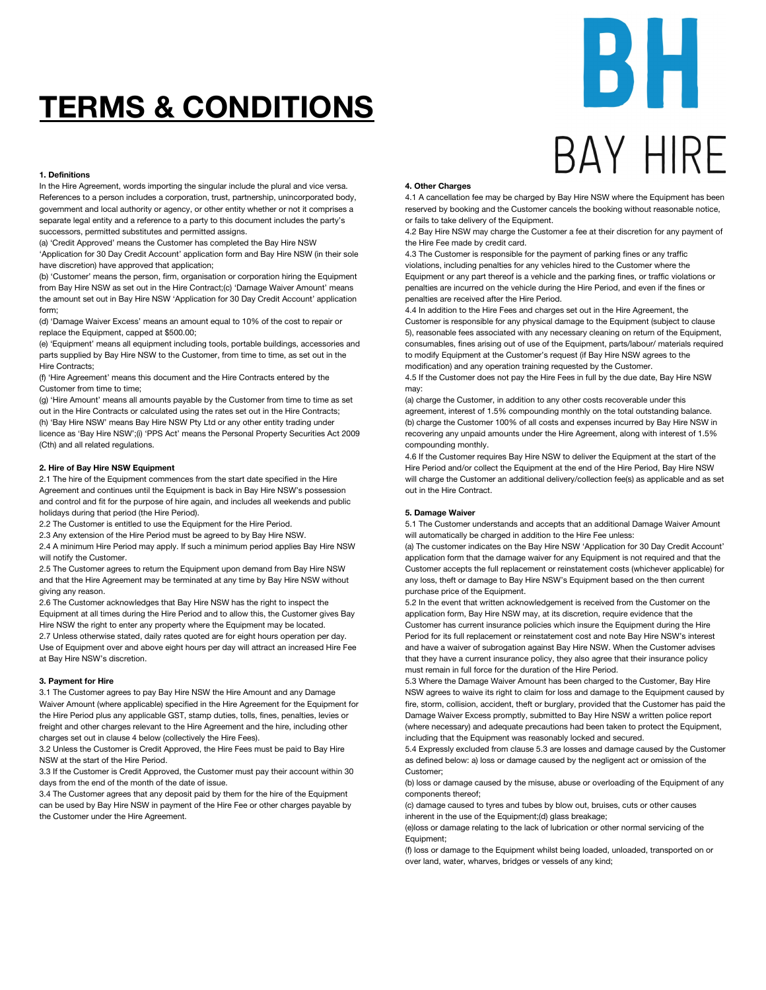# **TERMS & CONDITIONS**

# **1. Definitions**

In the Hire Agreement, words importing the singular include the plural and vice versa. References to a person includes a corporation, trust, partnership, unincorporated body, government and local authority or agency, or other entity whether or not it comprises a separate legal entity and a reference to a party to this document includes the party's successors, permitted substitutes and permitted assigns.

(a) 'Credit Approved' means the Customer has completed the Bay Hire NSW 'Application for 30 Day Credit Account' application form and Bay Hire NSW (in their sole have discretion) have approved that application;

(b) 'Customer' means the person, firm, organisation or corporation hiring the Equipment from Bay Hire NSW as set out in the Hire Contract;(c) 'Damage Waiver Amount' means the amount set out in Bay Hire NSW 'Application for 30 Day Credit Account' application form;

(d) 'Damage Waiver Excess' means an amount equal to 10% of the cost to repair or replace the Equipment, capped at \$500.00;

(e) 'Equipment' means all equipment including tools, portable buildings, accessories and parts supplied by Bay Hire NSW to the Customer, from time to time, as set out in the Hire Contracts;

(f) 'Hire Agreement' means this document and the Hire Contracts entered by the Customer from time to time;

(g) 'Hire Amount' means all amounts payable by the Customer from time to time as set out in the Hire Contracts or calculated using the rates set out in the Hire Contracts; (h) 'Bay Hire NSW' means Bay Hire NSW Pty Ltd or any other entity trading under licence as 'Bay Hire NSW';(i) 'PPS Act' means the Personal Property Securities Act 2009 (Cth) and all related regulations.

# **2. Hire of Bay Hire NSW Equipment**

2.1 The hire of the Equipment commences from the start date specified in the Hire Agreement and continues until the Equipment is back in Bay Hire NSW's possession and control and fit for the purpose of hire again, and includes all weekends and public holidays during that period (the Hire Period).

2.2 The Customer is entitled to use the Equipment for the Hire Period.

2.3 Any extension of the Hire Period must be agreed to by Bay Hire NSW.

2.4 A minimum Hire Period may apply. If such a minimum period applies Bay Hire NSW will notify the Customer.

2.5 The Customer agrees to return the Equipment upon demand from Bay Hire NSW and that the Hire Agreement may be terminated at any time by Bay Hire NSW without giving any reason.

2.6 The Customer acknowledges that Bay Hire NSW has the right to inspect the Equipment at all times during the Hire Period and to allow this, the Customer gives Bay Hire NSW the right to enter any property where the Equipment may be located. 2.7 Unless otherwise stated, daily rates quoted are for eight hours operation per day. Use of Equipment over and above eight hours per day will attract an increased Hire Fee at Bay Hire NSW's discretion.

# **3. Payment for Hire**

3.1 The Customer agrees to pay Bay Hire NSW the Hire Amount and any Damage Waiver Amount (where applicable) specified in the Hire Agreement for the Equipment for the Hire Period plus any applicable GST, stamp duties, tolls, fines, penalties, levies or freight and other charges relevant to the Hire Agreement and the hire, including other charges set out in clause 4 below (collectively the Hire Fees).

3.2 Unless the Customer is Credit Approved, the Hire Fees must be paid to Bay Hire NSW at the start of the Hire Period.

3.3 If the Customer is Credit Approved, the Customer must pay their account within 30 days from the end of the month of the date of issue.

3.4 The Customer agrees that any deposit paid by them for the hire of the Equipment can be used by Bay Hire NSW in payment of the Hire Fee or other charges payable by the Customer under the Hire Agreement.

# **4. Other Charges**

4.1 A cancellation fee may be charged by Bay Hire NSW where the Equipment has been reserved by booking and the Customer cancels the booking without reasonable notice, or fails to take delivery of the Equipment.

4.2 Bay Hire NSW may charge the Customer a fee at their discretion for any payment of the Hire Fee made by credit card.

4.3 The Customer is responsible for the payment of parking fines or any traffic violations, including penalties for any vehicles hired to the Customer where the Equipment or any part thereof is a vehicle and the parking fines, or traffic violations or penalties are incurred on the vehicle during the Hire Period, and even if the fines or penalties are received after the Hire Period.

4.4 In addition to the Hire Fees and charges set out in the Hire Agreement, the Customer is responsible for any physical damage to the Equipment (subject to clause 5), reasonable fees associated with any necessary cleaning on return of the Equipment, consumables, fines arising out of use of the Equipment, parts/labour/ materials required to modify Equipment at the Customer's request (if Bay Hire NSW agrees to the modification) and any operation training requested by the Customer.

4.5 If the Customer does not pay the Hire Fees in full by the due date, Bay Hire NSW may:

(a) charge the Customer, in addition to any other costs recoverable under this agreement, interest of 1.5% compounding monthly on the total outstanding balance. (b) charge the Customer 100% of all costs and expenses incurred by Bay Hire NSW in recovering any unpaid amounts under the Hire Agreement, along with interest of 1.5% compounding monthly.

4.6 If the Customer requires Bay Hire NSW to deliver the Equipment at the start of the Hire Period and/or collect the Equipment at the end of the Hire Period, Bay Hire NSW will charge the Customer an additional delivery/collection fee(s) as applicable and as set out in the Hire Contract.

# **5. Damage Waiver**

5.1 The Customer understands and accepts that an additional Damage Waiver Amount will automatically be charged in addition to the Hire Fee unless:

(a) The customer indicates on the Bay Hire NSW 'Application for 30 Day Credit Account' application form that the damage waiver for any Equipment is not required and that the Customer accepts the full replacement or reinstatement costs (whichever applicable) for any loss, theft or damage to Bay Hire NSW's Equipment based on the then current purchase price of the Equipment.

5.2 In the event that written acknowledgement is received from the Customer on the application form, Bay Hire NSW may, at its discretion, require evidence that the Customer has current insurance policies which insure the Equipment during the Hire Period for its full replacement or reinstatement cost and note Bay Hire NSW's interest and have a waiver of subrogation against Bay Hire NSW. When the Customer advises that they have a current insurance policy, they also agree that their insurance policy must remain in full force for the duration of the Hire Period.

5.3 Where the Damage Waiver Amount has been charged to the Customer, Bay Hire NSW agrees to waive its right to claim for loss and damage to the Equipment caused by fire, storm, collision, accident, theft or burglary, provided that the Customer has paid the Damage Waiver Excess promptly, submitted to Bay Hire NSW a written police report (where necessary) and adequate precautions had been taken to protect the Equipment, including that the Equipment was reasonably locked and secured.

5.4 Expressly excluded from clause 5.3 are losses and damage caused by the Customer as defined below: a) loss or damage caused by the negligent act or omission of the Customer;

(b) loss or damage caused by the misuse, abuse or overloading of the Equipment of any components thereof;

(c) damage caused to tyres and tubes by blow out, bruises, cuts or other causes inherent in the use of the Equipment;(d) glass breakage;

(e)loss or damage relating to the lack of lubrication or other normal servicing of the Equipment;

(f) loss or damage to the Equipment whilst being loaded, unloaded, transported on or over land, water, wharves, bridges or vessels of any kind;

# БĦ **BAY HIRF**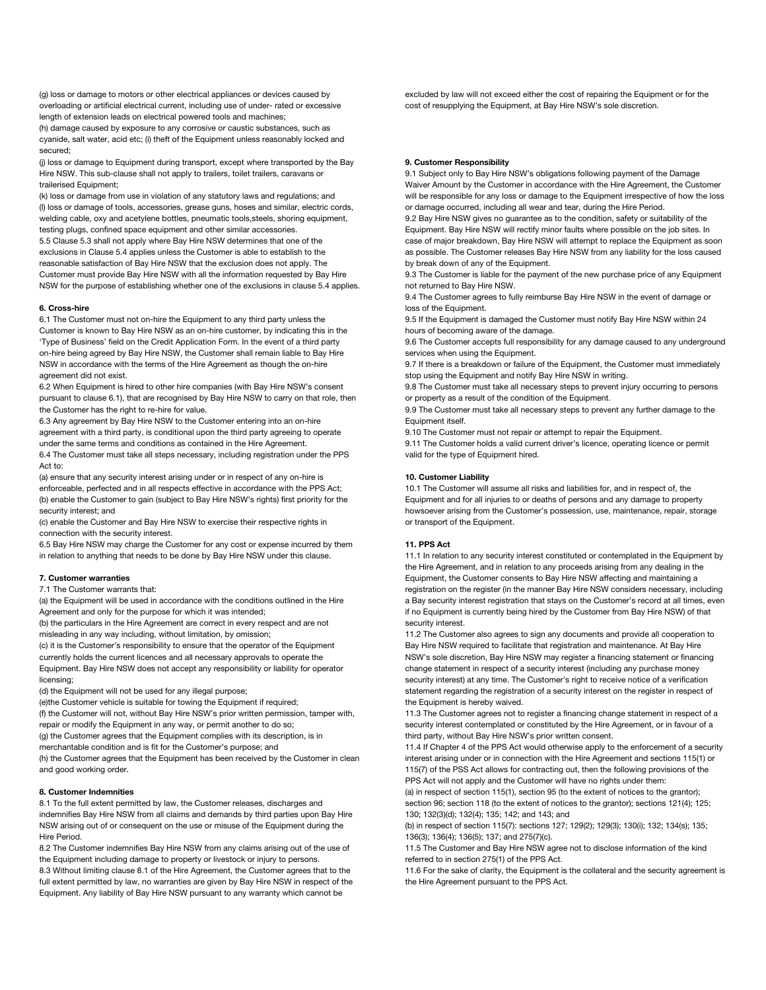(g) loss or damage to motors or other electrical appliances or devices caused by overloading or artificial electrical current, including use of under- rated or excessive length of extension leads on electrical powered tools and machines;

(h) damage caused by exposure to any corrosive or caustic substances, such as cyanide, salt water, acid etc; (i) theft of the Equipment unless reasonably locked and secured;

(j) loss or damage to Equipment during transport, except where transported by the Bay Hire NSW. This sub-clause shall not apply to trailers, toilet trailers, caravans or trailerised Equipment;

(k) loss or damage from use in violation of any statutory laws and regulations; and (l) loss or damage of tools, accessories, grease guns, hoses and similar, electric cords, welding cable, oxy and acetylene bottles, pneumatic tools,steels, shoring equipment, testing plugs, confined space equipment and other similar accessories.

5.5 Clause 5.3 shall not apply where Bay Hire NSW determines that one of the exclusions in Clause 5.4 applies unless the Customer is able to establish to the reasonable satisfaction of Bay Hire NSW that the exclusion does not apply. The Customer must provide Bay Hire NSW with all the information requested by Bay Hire NSW for the purpose of establishing whether one of the exclusions in clause 5.4 applies.

#### **6. Cross-hire**

6.1 The Customer must not on-hire the Equipment to any third party unless the Customer is known to Bay Hire NSW as an on-hire customer, by indicating this in the 'Type of Business' field on the Credit Application Form. In the event of a third party on-hire being agreed by Bay Hire NSW, the Customer shall remain liable to Bay Hire NSW in accordance with the terms of the Hire Agreement as though the on-hire agreement did not exist.

6.2 When Equipment is hired to other hire companies (with Bay Hire NSW's consent pursuant to clause 6.1), that are recognised by Bay Hire NSW to carry on that role, then the Customer has the right to re-hire for value.

6.3 Any agreement by Bay Hire NSW to the Customer entering into an on-hire agreement with a third party, is conditional upon the third party agreeing to operate under the same terms and conditions as contained in the Hire Agreement. 6.4 The Customer must take all steps necessary, including registration under the PPS Act to:

(a) ensure that any security interest arising under or in respect of any on-hire is enforceable, perfected and in all respects effective in accordance with the PPS Act; (b) enable the Customer to gain (subject to Bay Hire NSW's rights) first priority for the security interest; and

(c) enable the Customer and Bay Hire NSW to exercise their respective rights in connection with the security interest.

6.5 Bay Hire NSW may charge the Customer for any cost or expense incurred by them in relation to anything that needs to be done by Bay Hire NSW under this clause.

#### **7. Customer warranties**

7.1 The Customer warrants that:

(a) the Equipment will be used in accordance with the conditions outlined in the Hire Agreement and only for the purpose for which it was intended;

(b) the particulars in the Hire Agreement are correct in every respect and are not misleading in any way including, without limitation, by omission;

(c) it is the Customer's responsibility to ensure that the operator of the Equipment currently holds the current licences and all necessary approvals to operate the Equipment. Bay Hire NSW does not accept any responsibility or liability for operator licensing;

(d) the Equipment will not be used for any illegal purpose;

(e)the Customer vehicle is suitable for towing the Equipment if required;

(f) the Customer will not, without Bay Hire NSW's prior written permission, tamper with, repair or modify the Equipment in any way, or permit another to do so;

(g) the Customer agrees that the Equipment complies with its description, is in

merchantable condition and is fit for the Customer's purpose; and

(h) the Customer agrees that the Equipment has been received by the Customer in clean and good working order.

# **8. Customer Indemnities**

8.1 To the full extent permitted by law, the Customer releases, discharges and indemnifies Bay Hire NSW from all claims and demands by third parties upon Bay Hire NSW arising out of or consequent on the use or misuse of the Equipment during the Hire Period.

8.2 The Customer indemnifies Bay Hire NSW from any claims arising out of the use of the Equipment including damage to property or livestock or injury to persons. 8.3 Without limiting clause 8.1 of the Hire Agreement, the Customer agrees that to the full extent permitted by law, no warranties are given by Bay Hire NSW in respect of the Equipment. Any liability of Bay Hire NSW pursuant to any warranty which cannot be

excluded by law will not exceed either the cost of repairing the Equipment or for the cost of resupplying the Equipment, at Bay Hire NSW's sole discretion.

#### **9. Customer Responsibility**

9.1 Subject only to Bay Hire NSW's obligations following payment of the Damage Waiver Amount by the Customer in accordance with the Hire Agreement, the Customer will be responsible for any loss or damage to the Equipment irrespective of how the loss or damage occurred, including all wear and tear, during the Hire Period.

9.2 Bay Hire NSW gives no guarantee as to the condition, safety or suitability of the Equipment. Bay Hire NSW will rectify minor faults where possible on the job sites. In case of major breakdown, Bay Hire NSW will attempt to replace the Equipment as soon as possible. The Customer releases Bay Hire NSW from any liability for the loss caused by break down of any of the Equipment.

9.3 The Customer is liable for the payment of the new purchase price of any Equipment not returned to Bay Hire NSW.

9.4 The Customer agrees to fully reimburse Bay Hire NSW in the event of damage or loss of the Equipment.

9.5 If the Equipment is damaged the Customer must notify Bay Hire NSW within 24 hours of becoming aware of the damage.

9.6 The Customer accepts full responsibility for any damage caused to any underground services when using the Equipment.

9.7 If there is a breakdown or failure of the Equipment, the Customer must immediately stop using the Equipment and notify Bay Hire NSW in writing.

9.8 The Customer must take all necessary steps to prevent injury occurring to persons or property as a result of the condition of the Equipment.

9.9 The Customer must take all necessary steps to prevent any further damage to the Equipment itself.

9.10 The Customer must not repair or attempt to repair the Equipment.

9.11 The Customer holds a valid current driver's licence, operating licence or permit valid for the type of Equipment hired.

#### **10. Customer Liability**

10.1 The Customer will assume all risks and liabilities for, and in respect of, the Equipment and for all injuries to or deaths of persons and any damage to property howsoever arising from the Customer's possession, use, maintenance, repair, storage or transport of the Equipment.

#### **11. PPS Act**

11.1 In relation to any security interest constituted or contemplated in the Equipment by the Hire Agreement, and in relation to any proceeds arising from any dealing in the Equipment, the Customer consents to Bay Hire NSW affecting and maintaining a registration on the register (in the manner Bay Hire NSW considers necessary, including a Bay security interest registration that stays on the Customer's record at all times, even if no Equipment is currently being hired by the Customer from Bay Hire NSW) of that security interest.

11.2 The Customer also agrees to sign any documents and provide all cooperation to Bay Hire NSW required to facilitate that registration and maintenance. At Bay Hire NSW's sole discretion, Bay Hire NSW may register a financing statement or financing change statement in respect of a security interest (including any purchase money security interest) at any time. The Customer's right to receive notice of a verification statement regarding the registration of a security interest on the register in respect of the Equipment is hereby waived.

11.3 The Customer agrees not to register a financing change statement in respect of a security interest contemplated or constituted by the Hire Agreement, or in favour of a third party, without Bay Hire NSW's prior written consent.

11.4 If Chapter 4 of the PPS Act would otherwise apply to the enforcement of a security interest arising under or in connection with the Hire Agreement and sections 115(1) or 115(7) of the PSS Act allows for contracting out, then the following provisions of the PPS Act will not apply and the Customer will have no rights under them:

(a) in respect of section 115(1), section 95 (to the extent of notices to the grantor); section 96; section 118 (to the extent of notices to the grantor); sections 121(4); 125; 130; 132(3)(d); 132(4); 135; 142; and 143; and

(b) in respect of section 115(7): sections 127; 129(2); 129(3); 130(i); 132; 134(s); 135; 136(3); 136(4); 136(5); 137; and 275(7)(c).

11.5 The Customer and Bay Hire NSW agree not to disclose information of the kind referred to in section 275(1) of the PPS Act.

11.6 For the sake of clarity, the Equipment is the collateral and the security agreement is the Hire Agreement pursuant to the PPS Act.